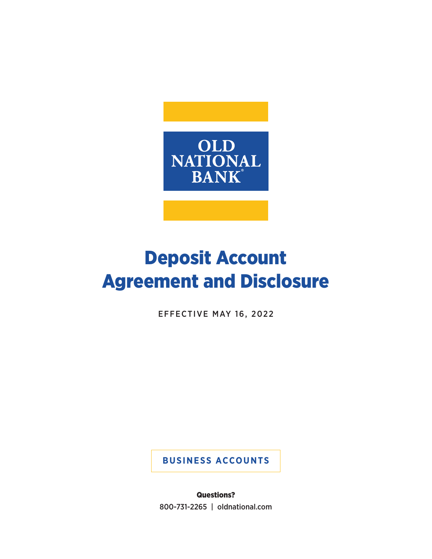

# Deposit Account Agreement and Disclosure

EFFECTIVE MAY 16, 2022

**BUSINESS ACCOUNTS**

Questions? 800-731-2265 | oldnational.com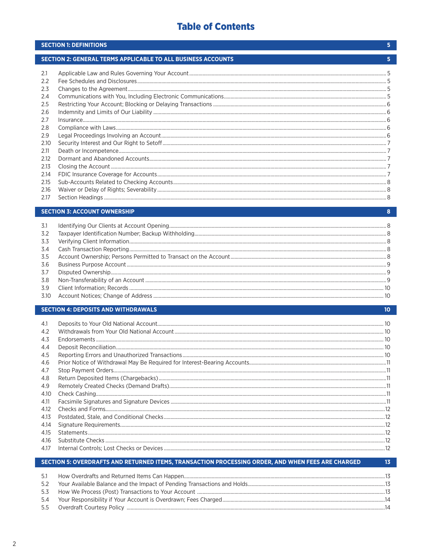# **Table of Contents**

|      | <b>SECTION 1: DEFINITIONS</b>                                | 5  |
|------|--------------------------------------------------------------|----|
|      | SECTION 2: GENERAL TERMS APPLICABLE TO ALL BUSINESS ACCOUNTS | 5. |
| 2.1  |                                                              |    |
| 2.2  |                                                              |    |
| 2.3  |                                                              |    |
| 2.4  |                                                              |    |
| 2.5  |                                                              |    |
| 2.6  |                                                              |    |
| 2.7  |                                                              |    |
| 2.8  |                                                              |    |
| 2.9  |                                                              |    |
| 2.10 |                                                              |    |
| 2.11 |                                                              |    |
| 2.12 |                                                              |    |
| 2.13 |                                                              |    |
| 2.14 |                                                              |    |
| 2.15 |                                                              |    |
| 2.16 |                                                              |    |
| 2.17 |                                                              |    |
|      | <b>SECTION 3: ACCOUNT OWNERSHIP</b>                          | 8  |
| 3.1  |                                                              |    |
| 3.2  |                                                              |    |

 $10<sub>1</sub>$ 

 $\overline{13}$ 

# **SECTION 4: DEPOSITS AND WITHDRAWALS**

| 4.1  |  |
|------|--|
| 4.2  |  |
| 4.3  |  |
| 4.4  |  |
| 4.5  |  |
| 4.6  |  |
| 4.7  |  |
| 4.8  |  |
| 4.9  |  |
| 4.10 |  |
| 4.11 |  |
| 4.12 |  |
| 4.13 |  |
| 4.14 |  |
| 4.15 |  |
| 4.16 |  |
| 4.17 |  |
|      |  |

# SECTION 5: OVERDRAFTS AND RETURNED ITEMS, TRANSACTION PROCESSING ORDER, AND WHEN FEES ARE CHARGED

| 5.1 |  |
|-----|--|
| 5.2 |  |
|     |  |
| 5.4 |  |
|     |  |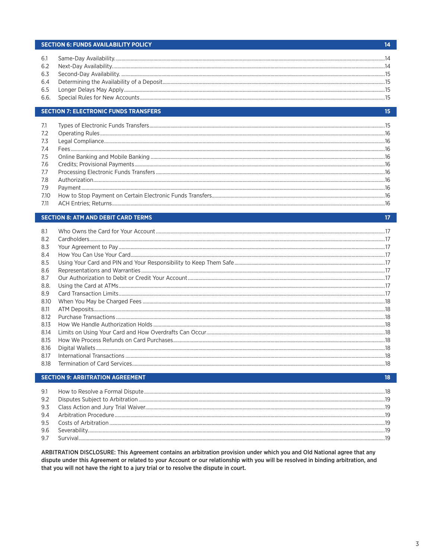# **SECTION 6: FUNDS AVAILABILITY POLICY**

| 6.1 |  |
|-----|--|
| 6.2 |  |
|     |  |
|     |  |
|     |  |
|     |  |

#### **SECTION 7: ELECTRONIC FUNDS TRANSFERS**

| 7.1  |                          |  |
|------|--------------------------|--|
| 7.2  |                          |  |
| 7.3  |                          |  |
| 7.4  |                          |  |
| 7.5  |                          |  |
| 7.6  |                          |  |
| 7.7  |                          |  |
| 7.8  |                          |  |
| 7.9  |                          |  |
| 7.10 |                          |  |
|      | 711 ACH Entries: Returns |  |

#### **SECTION 8: ATM AND DEBIT CARD TERMS**

| 8.1  |  |
|------|--|
| 8.2  |  |
| 8.3  |  |
| 8.4  |  |
| 8.5  |  |
| 8.6  |  |
| 8.7  |  |
| 8.8. |  |
| 8.9  |  |
| 8.10 |  |
| 8.11 |  |
| 8.12 |  |
| 8.13 |  |
| 8.14 |  |
| 8.15 |  |
| 8.16 |  |
| 8.17 |  |
| 8.18 |  |

#### **SECTION 9: ARBITRATION AGREEMENT**  $18<sup>1</sup>$ 9.1 9.2 9.3  $9.4$  $9.5$ 9.6 9.7

ARBITRATION DISCLOSURE: This Agreement contains an arbitration provision under which you and Old National agree that any dispute under this Agreement or related to your Account or our relationship with you will be resolved in binding arbitration, and that you will not have the right to a jury trial or to resolve the dispute in court.

# $14$

 $15<sub>15</sub>$ 

 $17<sub>2</sub>$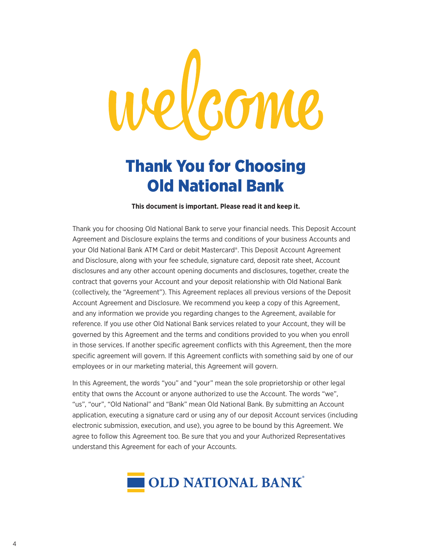# Vcome

# Thank You for Choosing Old National Bank

**This document is important. Please read it and keep it.**

Thank you for choosing Old National Bank to serve your financial needs. This Deposit Account Agreement and Disclosure explains the terms and conditions of your business Accounts and your Old National Bank ATM Card or debit Mastercard®. This Deposit Account Agreement and Disclosure, along with your fee schedule, signature card, deposit rate sheet, Account disclosures and any other account opening documents and disclosures, together, create the contract that governs your Account and your deposit relationship with Old National Bank (collectively, the "Agreement"). This Agreement replaces all previous versions of the Deposit Account Agreement and Disclosure. We recommend you keep a copy of this Agreement, and any information we provide you regarding changes to the Agreement, available for reference. If you use other Old National Bank services related to your Account, they will be governed by this Agreement and the terms and conditions provided to you when you enroll in those services. If another specific agreement conflicts with this Agreement, then the more specific agreement will govern. If this Agreement conflicts with something said by one of our employees or in our marketing material, this Agreement will govern.

In this Agreement, the words "you" and "your" mean the sole proprietorship or other legal entity that owns the Account or anyone authorized to use the Account. The words "we", "us", "our", "Old National" and "Bank" mean Old National Bank. By submitting an Account application, executing a signature card or using any of our deposit Account services (including electronic submission, execution, and use), you agree to be bound by this Agreement. We agree to follow this Agreement too. Be sure that you and your Authorized Representatives understand this Agreement for each of your Accounts.

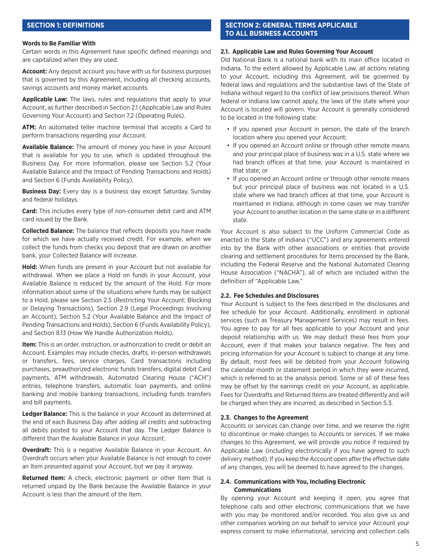# **SECTION 1: DEFINITIONS**

## **Words to Be Familiar With**

Certain words in this Agreement have specific defined meanings and are capitalized when they are used.

**Account:** Any deposit account you have with us for business purposes that is governed by this Agreement, including all checking accounts, savings accounts and money market accounts.

**Applicable Law:** The laws, rules and regulations that apply to your Account, as further described in Section 2.1 (Applicable Law and Rules Governing Your Account) and Section 7.2 (Operating Rules).

**ATM:** An automated teller machine terminal that accepts a Card to perform transactions regarding your Account.

**Available Balance:** The amount of money you have in your Account that is available for you to use, which is updated throughout the Business Day. For more information, please see Section 5.2 (Your Available Balance and the Impact of Pending Transactions and Holds) and Section 6 (Funds Availability Policy).

**Business Day:** Every day is a business day except Saturday, Sunday and federal holidays.

**Card:** This includes every type of non-consumer debit card and ATM card issued by the Bank.

**Collected Balance:** The balance that reflects deposits you have made for which we have actually received credit. For example, when we collect the funds from checks you deposit that are drawn on another bank, your Collected Balance will increase.

**Hold:** When funds are present in your Account but not available for withdrawal. When we place a Hold on funds in your Account, your Available Balance is reduced by the amount of the Hold. For more information about some of the situations where funds may be subject to a Hold, please see Section 2.5 (Restricting Your Account; Blocking or Delaying Transactions), Section 2.9 (Legal Proceedings Involving an Account), Section 5.2 (Your Available Balance and the Impact of Pending Transactions and Holds), Section 6 (Funds Availability Policy), and Section 8.13 (How We Handle Authorization Holds).

**Item:** This is an order, instruction, or authorization to credit or debit an Account. Examples may include checks, drafts, in-person withdrawals or transfers, fees, service charges, Card transactions including purchases, preauthorized electronic funds transfers, digital debit Card payments, ATM withdrawals, Automated Clearing House ("ACH") entries, telephone transfers, automatic loan payments, and online banking and mobile banking transactions, including funds transfers and bill payments.

**Ledger Balance:** This is the balance in your Account as determined at the end of each Business Day after adding all credits and subtracting all debits posted to your Account that day. The Ledger Balance is different than the Available Balance in your Account.

**Overdraft:** This is a negative Available Balance in your Account. An Overdraft occurs when your Available Balance is not enough to cover an Item presented against your Account, but we pay it anyway.

**Returned Item:** A check, electronic payment or other Item that is returned unpaid by the Bank because the Available Balance in your Account is less than the amount of the Item.

# **SECTION 2: GENERAL TERMS APPLICABLE TO ALL BUSINESS ACCOUNTS**

# **2.1. Applicable Law and Rules Governing Your Account**

Old National Bank is a national bank with its main office located in Indiana. To the extent allowed by Applicable Law, all actions relating to your Account, including this Agreement, will be governed by federal laws and regulations and the substantive laws of the State of Indiana without regard to the conflict of law provisions thereof. When federal or Indiana law cannot apply, the laws of the state where your Account is located will govern. Your Account is generally considered to be located in the following state:

- If you opened your Account in person, the state of the branch location where you opened your Account;
- If you opened an Account online or through other remote means and your principal place of business was in a U.S. state where we had branch offices at that time, your Account is maintained in that state; or
- If you opened an Account online or through other remote means but your principal place of business was not located in a U.S. state where we had branch offices at that time, your Account is maintained in Indiana; although in some cases we may transfer your Account to another location in the same state or in a different state.

Your Account is also subject to the Uniform Commercial Code as enacted in the State of Indiana ("UCC") and any agreements entered into by the Bank with other associations or entities that provide clearing and settlement procedures for Items processed by the Bank, including the Federal Reserve and the National Automated Clearing House Association ("NACHA"), all of which are included within the definition of "Applicable Law."

#### **2.2. Fee Schedules and Disclosures**

Your Account is subject to the fees described in the disclosures and fee schedule for your Account. Additionally, enrollment in optional services (such as Treasury Management Services) may result in fees. You agree to pay for all fees applicable to your Account and your deposit relationship with us. We may deduct these fees from your Account, even if that makes your balance negative. The fees and pricing information for your Account is subject to change at any time. By default, most fees will be debited from your Account following the calendar month or statement period in which they were incurred, which is referred to as the analysis period. Some or all of these fees may be offset by the earnings credit on your Account, as applicable. Fees for Overdrafts and Returned Items are treated differently and will be charged when they are incurred, as described in Section 5.3.

#### **2.3. Changes to the Agreement**

Accounts or services can change over time, and we reserve the right to discontinue or make changes to Accounts or services. If we make changes to this Agreement, we will provide you notice if required by Applicable Law (including electronically if you have agreed to such delivery method). If you keep the Account open after the effective date of any changes, you will be deemed to have agreed to the changes.

# **2.4. Communications with You, Including Electronic Communications**

By opening your Account and keeping it open, you agree that telephone calls and other electronic communications that we have with you may be monitored and/or recorded. You also give us and other companies working on our behalf to service your Account your express consent to make informational, servicing and collection calls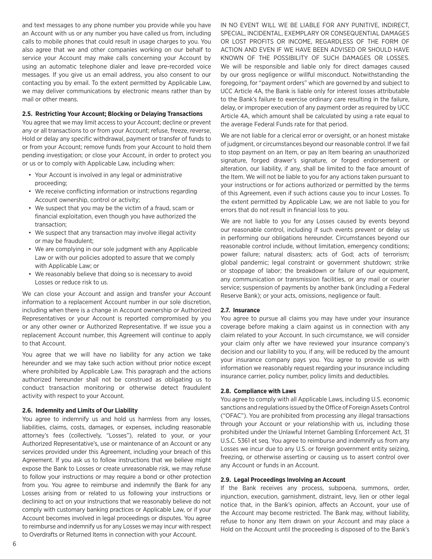and text messages to any phone number you provide while you have an Account with us or any number you have called us from, including calls to mobile phones that could result in usage charges to you. You also agree that we and other companies working on our behalf to service your Account may make calls concerning your Account by using an automatic telephone dialer and leave pre-recorded voice messages. If you give us an email address, you also consent to our contacting you by email. To the extent permitted by Applicable Law, we may deliver communications by electronic means rather than by mail or other means.

#### **2.5. Restricting Your Account; Blocking or Delaying Transactions**

You agree that we may limit access to your Account; decline or prevent any or all transactions to or from your Account; refuse, freeze, reverse, Hold or delay any specific withdrawal, payment or transfer of funds to or from your Account; remove funds from your Account to hold them pending investigation; or close your Account, in order to protect you or us or to comply with Applicable Law, including when:

- Your Account is involved in any legal or administrative proceeding;
- We receive conflicting information or instructions regarding Account ownership, control or activity;
- We suspect that you may be the victim of a fraud, scam or financial exploitation, even though you have authorized the transaction;
- We suspect that any transaction may involve illegal activity or may be fraudulent;
- We are complying in our sole judgment with any Applicable Law or with our policies adopted to assure that we comply with Applicable Law; or
- We reasonably believe that doing so is necessary to avoid Losses or reduce risk to us.

We can close your Account and assign and transfer your Account information to a replacement Account number in our sole discretion, including when there is a change in Account ownership or Authorized Representatives or your Account is reported compromised by you or any other owner or Authorized Representative. If we issue you a replacement Account number, this Agreement will continue to apply to that Account.

You agree that we will have no liability for any action we take hereunder and we may take such action without prior notice except where prohibited by Applicable Law. This paragraph and the actions authorized hereunder shall not be construed as obligating us to conduct transaction monitoring or otherwise detect fraudulent activity with respect to your Account.

# **2.6. Indemnity and Limits of Our Liability**

You agree to indemnify us and hold us harmless from any losses, liabilities, claims, costs, damages, or expenses, including reasonable attorney's fees (collectively, "Losses"), related to your, or your Authorized Representative's, use or maintenance of an Account or any services provided under this Agreement, including your breach of this Agreement. If you ask us to follow instructions that we believe might expose the Bank to Losses or create unreasonable risk, we may refuse to follow your instructions or may require a bond or other protection from you. You agree to reimburse and indemnify the Bank for any Losses arising from or related to us following your instructions or declining to act on your instructions that we reasonably believe do not comply with customary banking practices or Applicable Law, or if your Account becomes involved in legal proceedings or disputes. You agree to reimburse and indemnify us for any Losses we may incur with respect to Overdrafts or Returned Items in connection with your Account.

IN NO EVENT WILL WE BE LIABLE FOR ANY PUNITIVE, INDIRECT, SPECIAL, INCIDENTAL, EXEMPLARY OR CONSEQUENTIAL DAMAGES OR LOST PROFITS OR INCOME, REGARDLESS OF THE FORM OF ACTION AND EVEN IF WE HAVE BEEN ADVISED OR SHOULD HAVE KNOWN OF THE POSSIBILITY OF SUCH DAMAGES OR LOSSES. We will be responsible and liable only for direct damages caused by our gross negligence or willful misconduct. Notwithstanding the foregoing, for "payment orders" which are governed by and subject to UCC Article 4A, the Bank is liable only for interest losses attributable to the Bank's failure to exercise ordinary care resulting in the failure, delay, or improper execution of any payment order as required by UCC Article 4A, which amount shall be calculated by using a rate equal to the average Federal Funds rate for that period.

We are not liable for a clerical error or oversight, or an honest mistake of judgment, or circumstances beyond our reasonable control. If we fail to stop payment on an Item, or pay an Item bearing an unauthorized signature, forged drawer's signature, or forged endorsement or alteration, our liability, if any, shall be limited to the face amount of the Item. We will not be liable to you for any actions taken pursuant to your instructions or for actions authorized or permitted by the terms of this Agreement, even if such actions cause you to incur Losses. To the extent permitted by Applicable Law, we are not liable to you for errors that do not result in financial loss to you.

We are not liable to you for any Losses caused by events beyond our reasonable control, including if such events prevent or delay us in performing our obligations hereunder. Circumstances beyond our reasonable control include, without limitation, emergency conditions; power failure; natural disasters; acts of God; acts of terrorism; global pandemic; legal constraint or government shutdown; strike or stoppage of labor; the breakdown or failure of our equipment, any communication or transmission facilities, or any mail or courier service; suspension of payments by another bank (including a Federal Reserve Bank); or your acts, omissions, negligence or fault.

# **2.7. Insurance**

You agree to pursue all claims you may have under your insurance coverage before making a claim against us in connection with any claim related to your Account. In such circumstance, we will consider your claim only after we have reviewed your insurance company's decision and our liability to you, if any, will be reduced by the amount your insurance company pays you. You agree to provide us with information we reasonably request regarding your insurance including insurance carrier, policy number, policy limits and deductibles.

#### **2.8. Compliance with Laws**

You agree to comply with all Applicable Laws, including U.S. economic sanctions and regulations issued by the Office of Foreign Assets Control ("OFAC"). You are prohibited from processing any illegal transactions through your Account or your relationship with us, including those prohibited under the Unlawful Internet Gambling Enforcement Act, 31 U.S.C. 5361 et seq. You agree to reimburse and indemnify us from any Losses we incur due to any U.S. or foreign government entity seizing, freezing, or otherwise asserting or causing us to assert control over any Account or funds in an Account.

# **2.9. Legal Proceedings Involving an Account**

If the Bank receives any process, subpoena, summons, order, injunction, execution, garnishment, distraint, levy, lien or other legal notice that, in the Bank's opinion, affects an Account, your use of the Account may become restricted. The Bank may, without liability, refuse to honor any Item drawn on your Account and may place a Hold on the Account until the proceeding is disposed of to the Bank's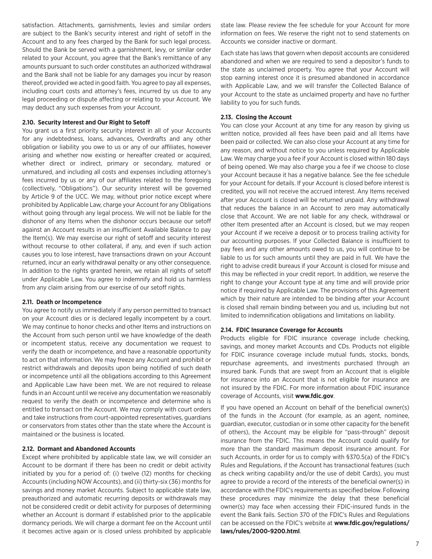satisfaction. Attachments, garnishments, levies and similar orders are subject to the Bank's security interest and right of setoff in the Account and to any fees charged by the Bank for such legal process. Should the Bank be served with a garnishment, levy, or similar order related to your Account, you agree that the Bank's remittance of any amounts pursuant to such order constitutes an authorized withdrawal and the Bank shall not be liable for any damages you incur by reason thereof, provided we acted in good faith. You agree to pay all expenses, including court costs and attorney's fees, incurred by us due to any legal proceeding or dispute affecting or relating to your Account. We may deduct any such expenses from your Account.

#### **2.10. Security Interest and Our Right to Setoff**

You grant us a first priority security interest in all of your Accounts for any indebtedness, loans, advances, Overdrafts and any other obligation or liability you owe to us or any of our affiliates, however arising and whether now existing or hereafter created or acquired, whether direct or indirect, primary or secondary, matured or unmatured, and including all costs and expenses including attorney's fees incurred by us or any of our affiliates related to the foregoing (collectively, "Obligations"). Our security interest will be governed by Article 9 of the UCC. We may, without prior notice except where prohibited by Applicable Law, charge your Account for any Obligations without going through any legal process. We will not be liable for the dishonor of any Items when the dishonor occurs because our setoff against an Account results in an insufficient Available Balance to pay the Item(s). We may exercise our right of setoff and security interest without recourse to other collateral, if any, and even if such action causes you to lose interest, have transactions drawn on your Account returned, incur an early withdrawal penalty or any other consequence. In addition to the rights granted herein, we retain all rights of setoff under Applicable Law. You agree to indemnify and hold us harmless from any claim arising from our exercise of our setoff rights.

### **2.11. Death or Incompetence**

You agree to notify us immediately if any person permitted to transact on your Account dies or is declared legally incompetent by a court. We may continue to honor checks and other Items and instructions on the Account from such person until we have knowledge of the death or incompetent status, receive any documentation we request to verify the death or incompetence, and have a reasonable opportunity to act on that information. We may freeze any Account and prohibit or restrict withdrawals and deposits upon being notified of such death or incompetence until all the obligations according to this Agreement and Applicable Law have been met. We are not required to release funds in an Account until we receive any documentation we reasonably request to verify the death or incompetence and determine who is entitled to transact on the Account. We may comply with court orders and take instructions from court-appointed representatives, guardians or conservators from states other than the state where the Account is maintained or the business is located.

#### **2.12. Dormant and Abandoned Accounts**

Except where prohibited by applicable state law, we will consider an Account to be dormant if there has been no credit or debit activity initiated by you for a period of: (i) twelve (12) months for checking Accounts (including NOW Accounts), and (ii) thirty-six (36) months for savings and money market Accounts. Subject to applicable state law, preauthorized and automatic recurring deposits or withdrawals may not be considered credit or debit activity for purposes of determining whether an Account is dormant if established prior to the applicable dormancy periods. We will charge a dormant fee on the Account until it becomes active again or is closed unless prohibited by applicable

state law. Please review the fee schedule for your Account for more information on fees. We reserve the right not to send statements on Accounts we consider inactive or dormant.

Each state has laws that govern when deposit accounts are considered abandoned and when we are required to send a depositor's funds to the state as unclaimed property. You agree that your Account will stop earning interest once it is presumed abandoned in accordance with Applicable Law, and we will transfer the Collected Balance of your Account to the state as unclaimed property and have no further liability to you for such funds.

## **2.13. Closing the Account**

You can close your Account at any time for any reason by giving us written notice, provided all fees have been paid and all Items have been paid or collected. We can also close your Account at any time for any reason, and without notice to you unless required by Applicable Law. We may charge you a fee if your Account is closed within 180 days of being opened. We may also charge you a fee if we choose to close your Account because it has a negative balance. See the fee schedule for your Account for details. If your Account is closed before interest is credited, you will not receive the accrued interest. Any Items received after your Account is closed will be returned unpaid. Any withdrawal that reduces the balance in an Account to zero may automatically close that Account. We are not liable for any check, withdrawal or other Item presented after an Account is closed, but we may reopen your Account if we receive a deposit or to process trailing activity for our accounting purposes. If your Collected Balance is insufficient to pay fees and any other amounts owed to us, you will continue to be liable to us for such amounts until they are paid in full. We have the right to advise credit bureaus if your Account is closed for misuse and this may be reflected in your credit report. In addition, we reserve the right to change your Account type at any time and will provide prior notice if required by Applicable Law. The provisions of this Agreement which by their nature are intended to be binding after your Account is closed shall remain binding between you and us, including but not limited to indemnification obligations and limitations on liability.

#### **2.14. FDIC Insurance Coverage for Accounts**

Products eligible for FDIC insurance coverage include checking, savings, and money market Accounts and CDs. Products not eligible for FDIC insurance coverage include mutual funds, stocks, bonds, repurchase agreements, and investments purchased through an insured bank. Funds that are swept from an Account that is eligible for insurance into an Account that is not eligible for insurance are not insured by the FDIC. For more information about FDIC insurance coverage of Accounts, visit **www.fdic.gov**.

If you have opened an Account on behalf of the beneficial owner(s) of the funds in the Account (for example, as an agent, nominee, guardian, executor, custodian or in some other capacity for the benefit of others), the Account may be eligible for "pass-through" deposit insurance from the FDIC. This means the Account could qualify for more than the standard maximum deposit insurance amount. For such Accounts, in order for us to comply with §370.5(a) of the FDIC's Rules and Regulations, if the Account has transactional features (such as check writing capability and/or the use of debit Cards), you must agree to provide a record of the interests of the beneficial owner(s) in accordance with the FDIC's requirements as specified below. Following these procedures may minimize the delay that these beneficial owner(s) may face when accessing their FDIC-insured funds in the event the Bank fails. Section 370 of the FDIC's Rules and Regulations can be accessed on the FDIC's website at **www.fdic.gov/regulations/ laws/rules/2000-9200.html**.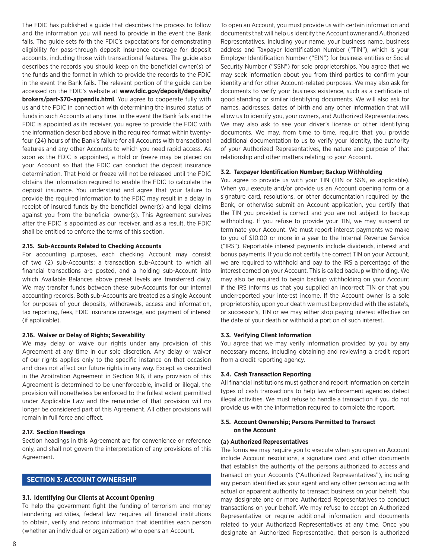The FDIC has published a guide that describes the process to follow and the information you will need to provide in the event the Bank fails. The guide sets forth the FDIC's expectations for demonstrating eligibility for pass-through deposit insurance coverage for deposit accounts, including those with transactional features. The guide also describes the records you should keep on the beneficial owner(s) of the funds and the format in which to provide the records to the FDIC in the event the Bank fails. The relevant portion of the guide can be accessed on the FDIC's website at **www.fdic.gov/deposit/deposits/ brokers/part-370-appendix.html**. You agree to cooperate fully with us and the FDIC in connection with determining the insured status of funds in such Accounts at any time. In the event the Bank fails and the FDIC is appointed as its receiver, you agree to provide the FDIC with the information described above in the required format within twentyfour (24) hours of the Bank's failure for all Accounts with transactional features and any other Accounts to which you need rapid access. As soon as the FDIC is appointed, a Hold or freeze may be placed on your Account so that the FDIC can conduct the deposit insurance determination. That Hold or freeze will not be released until the FDIC obtains the information required to enable the FDIC to calculate the deposit insurance. You understand and agree that your failure to provide the required information to the FDIC may result in a delay in receipt of insured funds by the beneficial owner(s) and legal claims against you from the beneficial owner(s). This Agreement survives after the FDIC is appointed as our receiver, and as a result, the FDIC shall be entitled to enforce the terms of this section.

## **2.15. Sub-Accounts Related to Checking Accounts**

For accounting purposes, each checking Account may consist of two (2) sub-Accounts: a transaction sub-Account to which all financial transactions are posted, and a holding sub-Account into which Available Balances above preset levels are transferred daily. We may transfer funds between these sub-Accounts for our internal accounting records. Both sub-Accounts are treated as a single Account for purposes of your deposits, withdrawals, access and information, tax reporting, fees, FDIC insurance coverage, and payment of interest (if applicable).

#### **2.16. Waiver or Delay of Rights; Severability**

We may delay or waive our rights under any provision of this Agreement at any time in our sole discretion. Any delay or waiver of our rights applies only to the specific instance on that occasion and does not affect our future rights in any way. Except as described in the Arbitration Agreement in Section 9.6, if any provision of this Agreement is determined to be unenforceable, invalid or illegal, the provision will nonetheless be enforced to the fullest extent permitted under Applicable Law and the remainder of that provision will no longer be considered part of this Agreement. All other provisions will remain in full force and effect.

#### **2.17. Section Headings**

Section headings in this Agreement are for convenience or reference only, and shall not govern the interpretation of any provisions of this Agreement.

# **SECTION 3: ACCOUNT OWNERSHIP**

#### **3.1. Identifying Our Clients at Account Opening**

To help the government fight the funding of terrorism and money laundering activities, federal law requires all financial institutions to obtain, verify and record information that identifies each person (whether an individual or organization) who opens an Account.

To open an Account, you must provide us with certain information and documents that will help us identify the Account owner and Authorized Representatives, including your name, your business name, business address and Taxpayer Identification Number ("TIN"), which is your Employer Identification Number ("EIN") for business entities or Social Security Number ("SSN") for sole proprietorships. You agree that we may seek information about you from third parties to confirm your identity and for other Account-related purposes. We may also ask for documents to verify your business existence, such as a certificate of good standing or similar identifying documents. We will also ask for names, addresses, dates of birth and any other information that will allow us to identify you, your owners, and Authorized Representatives. We may also ask to see your driver's license or other identifying documents. We may, from time to time, require that you provide additional documentation to us to verify your identity, the authority of your Authorized Representatives, the nature and purpose of that relationship and other matters relating to your Account.

#### **3.2. Taxpayer Identification Number; Backup Withholding**

You agree to provide us with your TIN (EIN or SSN, as applicable). When you execute and/or provide us an Account opening form or a signature card, resolutions, or other documentation required by the Bank, or otherwise submit an Account application, you certify that the TIN you provided is correct and you are not subject to backup withholding. If you refuse to provide your TIN, we may suspend or terminate your Account. We must report interest payments we make to you of \$10.00 or more in a year to the Internal Revenue Service ("IRS"). Reportable interest payments include dividends, interest and bonus payments. If you do not certify the correct TIN on your Account, we are required to withhold and pay to the IRS a percentage of the interest earned on your Account. This is called backup withholding. We may also be required to begin backup withholding on your Account if the IRS informs us that you supplied an incorrect TIN or that you underreported your interest income. If the Account owner is a sole proprietorship, upon your death we must be provided with the estate's, or successor's, TIN or we may either stop paying interest effective on the date of your death or withhold a portion of such interest.

#### **3.3. Verifying Client Information**

You agree that we may verify information provided by you by any necessary means, including obtaining and reviewing a credit report from a credit reporting agency.

#### **3.4. Cash Transaction Reporting**

All financial institutions must gather and report information on certain types of cash transactions to help law enforcement agencies detect illegal activities. We must refuse to handle a transaction if you do not provide us with the information required to complete the report.

# **3.5. Account Ownership; Persons Permitted to Transact on the Account**

#### **(a) Authorized Representatives**

The forms we may require you to execute when you open an Account include Account resolutions, a signature card and other documents that establish the authority of the persons authorized to access and transact on your Accounts ("Authorized Representatives"), including any person identified as your agent and any other person acting with actual or apparent authority to transact business on your behalf. You may designate one or more Authorized Representatives to conduct transactions on your behalf. We may refuse to accept an Authorized Representative or require additional information and documents related to your Authorized Representatives at any time. Once you designate an Authorized Representative, that person is authorized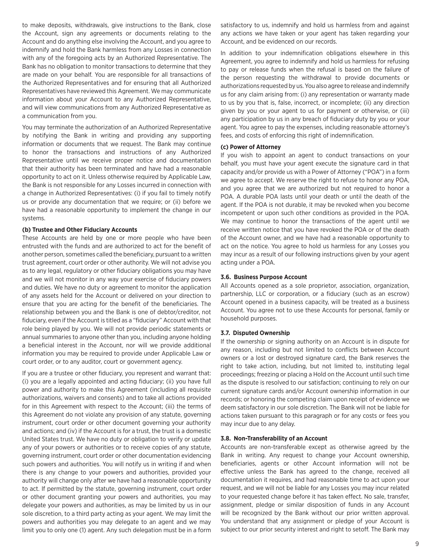to make deposits, withdrawals, give instructions to the Bank, close the Account, sign any agreements or documents relating to the Account and do anything else involving the Account, and you agree to indemnify and hold the Bank harmless from any Losses in connection with any of the foregoing acts by an Authorized Representative. The Bank has no obligation to monitor transactions to determine that they are made on your behalf. You are responsible for all transactions of the Authorized Representatives and for ensuring that all Authorized Representatives have reviewed this Agreement. We may communicate information about your Account to any Authorized Representative, and will view communications from any Authorized Representative as a communication from you.

You may terminate the authorization of an Authorized Representative by notifying the Bank in writing and providing any supporting information or documents that we request. The Bank may continue to honor the transactions and instructions of any Authorized Representative until we receive proper notice and documentation that their authority has been terminated and have had a reasonable opportunity to act on it. Unless otherwise required by Applicable Law, the Bank is not responsible for any Losses incurred in connection with a change in Authorized Representatives: (i) if you fail to timely notify us or provide any documentation that we require; or (ii) before we have had a reasonable opportunity to implement the change in our systems.

# **(b) Trustee and Other Fiduciary Accounts**

These Accounts are held by one or more people who have been entrusted with the funds and are authorized to act for the benefit of another person, sometimes called the beneficiary, pursuant to a written trust agreement, court order or other authority. We will not advise you as to any legal, regulatory or other fiduciary obligations you may have and we will not monitor in any way your exercise of fiduciary powers and duties. We have no duty or agreement to monitor the application of any assets held for the Account or delivered on your direction to ensure that you are acting for the benefit of the beneficiaries. The relationship between you and the Bank is one of debtor/creditor, not fiduciary, even if the Account is titled as a "fiduciary" Account with that role being played by you. We will not provide periodic statements or annual summaries to anyone other than you, including anyone holding a beneficial interest in the Account, nor will we provide additional information you may be required to provide under Applicable Law or court order, or to any auditor, court or government agency.

If you are a trustee or other fiduciary, you represent and warrant that: (i) you are a legally appointed and acting fiduciary; (ii) you have full power and authority to make this Agreement (including all requisite authorizations, waivers and consents) and to take all actions provided for in this Agreement with respect to the Account; (iii) the terms of this Agreement do not violate any provision of any statute, governing instrument, court order or other document governing your authority and actions; and (iv) if the Account is for a trust, the trust is a domestic United States trust. We have no duty or obligation to verify or update any of your powers or authorities or to receive copies of any statute, governing instrument, court order or other documentation evidencing such powers and authorities. You will notify us in writing if and when there is any change to your powers and authorities, provided your authority will change only after we have had a reasonable opportunity to act. If permitted by the statute, governing instrument, court order or other document granting your powers and authorities, you may delegate your powers and authorities, as may be limited by us in our sole discretion, to a third party acting as your agent. We may limit the powers and authorities you may delegate to an agent and we may limit you to only one (1) agent. Any such delegation must be in a form

satisfactory to us, indemnify and hold us harmless from and against any actions we have taken or your agent has taken regarding your Account, and be evidenced on our records.

In addition to your indemnification obligations elsewhere in this Agreement, you agree to indemnify and hold us harmless for refusing to pay or release funds when the refusal is based on the failure of the person requesting the withdrawal to provide documents or authorizations requested by us. You also agree to release and indemnify us for any claim arising from: (i) any representation or warranty made to us by you that is, false, incorrect, or incomplete; (ii) any direction given by you or your agent to us for payment or otherwise, or (iii) any participation by us in any breach of fiduciary duty by you or your agent. You agree to pay the expenses, including reasonable attorney's fees, and costs of enforcing this right of indemnification.

## **(c) Power of Attorney**

If you wish to appoint an agent to conduct transactions on your behalf, you must have your agent execute the signature card in that capacity and/or provide us with a Power of Attorney ("POA") in a form we agree to accept. We reserve the right to refuse to honor any POA, and you agree that we are authorized but not required to honor a POA. A durable POA lasts until your death or until the death of the agent. If the POA is not durable, it may be revoked when you become incompetent or upon such other conditions as provided in the POA. We may continue to honor the transactions of the agent until we receive written notice that you have revoked the POA or of the death of the Account owner, and we have had a reasonable opportunity to act on the notice. You agree to hold us harmless for any Losses you may incur as a result of our following instructions given by your agent acting under a POA.

#### **3.6. Business Purpose Account**

All Accounts opened as a sole proprietor, association, organization, partnership, LLC or corporation, or a fiduciary (such as an escrow) Account opened in a business capacity, will be treated as a business Account. You agree not to use these Accounts for personal, family or household purposes.

#### **3.7. Disputed Ownership**

If the ownership or signing authority on an Account is in dispute for any reason, including but not limited to conflicts between Account owners or a lost or destroyed signature card, the Bank reserves the right to take action, including, but not limited to, instituting legal proceedings; freezing or placing a Hold on the Account until such time as the dispute is resolved to our satisfaction; continuing to rely on our current signature cards and/or Account ownership information in our records; or honoring the competing claim upon receipt of evidence we deem satisfactory in our sole discretion. The Bank will not be liable for actions taken pursuant to this paragraph or for any costs or fees you may incur due to any delay.

#### **3.8. Non-Transferability of an Account**

Accounts are non-transferable except as otherwise agreed by the Bank in writing. Any request to change your Account ownership, beneficiaries, agents or other Account information will not be effective unless the Bank has agreed to the change, received all documentation it requires, and had reasonable time to act upon your request, and we will not be liable for any Losses you may incur related to your requested change before it has taken effect. No sale, transfer, assignment, pledge or similar disposition of funds in any Account will be recognized by the Bank without our prior written approval. You understand that any assignment or pledge of your Account is subject to our prior security interest and right to setoff. The Bank may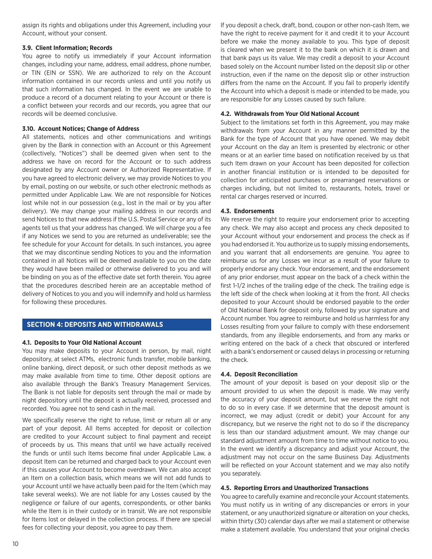assign its rights and obligations under this Agreement, including your Account, without your consent.

# **3.9. Client Information; Records**

You agree to notify us immediately if your Account information changes, including your name, address, email address, phone number, or TIN (EIN or SSN). We are authorized to rely on the Account information contained in our records unless and until you notify us that such information has changed. In the event we are unable to produce a record of a document relating to your Account or there is a conflict between your records and our records, you agree that our records will be deemed conclusive.

# **3.10. Account Notices; Change of Address**

All statements, notices and other communications and writings given by the Bank in connection with an Account or this Agreement (collectively, "Notices") shall be deemed given when sent to the address we have on record for the Account or to such address designated by any Account owner or Authorized Representative. If you have agreed to electronic delivery, we may provide Notices to you by email, posting on our website, or such other electronic methods as permitted under Applicable Law. We are not responsible for Notices lost while not in our possession (e.g., lost in the mail or by you after delivery). We may change your mailing address in our records and send Notices to that new address if the U.S. Postal Service or any of its agents tell us that your address has changed. We will charge you a fee if any Notices we send to you are returned as undeliverable; see the fee schedule for your Account for details. In such instances, you agree that we may discontinue sending Notices to you and the information contained in all Notices will be deemed available to you on the date they would have been mailed or otherwise delivered to you and will be binding on you as of the effective date set forth therein. You agree that the procedures described herein are an acceptable method of delivery of Notices to you and you will indemnify and hold us harmless for following these procedures.

# **SECTION 4: DEPOSITS AND WITHDRAWALS**

# **4.1. Deposits to Your Old National Account**

You may make deposits to your Account in person, by mail, night depository, at select ATMs, electronic funds transfer, mobile banking, online banking, direct deposit, or such other deposit methods as we may make available from time to time. Other deposit options are also available through the Bank's Treasury Management Services. The Bank is not liable for deposits sent through the mail or made by night depository until the deposit is actually received, processed and recorded. You agree not to send cash in the mail.

We specifically reserve the right to refuse, limit or return all or any part of your deposit. All Items accepted for deposit or collection are credited to your Account subject to final payment and receipt of proceeds by us. This means that until we have actually received the funds or until such Items become final under Applicable Law, a deposit Item can be returned and charged back to your Account even if this causes your Account to become overdrawn. We can also accept an Item on a collection basis, which means we will not add funds to your Account until we have actually been paid for the Item (which may take several weeks). We are not liable for any Losses caused by the negligence or failure of our agents, correspondents, or other banks while the Item is in their custody or in transit. We are not responsible for Items lost or delayed in the collection process. If there are special fees for collecting your deposit, you agree to pay them.

If you deposit a check, draft, bond, coupon or other non-cash Item, we have the right to receive payment for it and credit it to your Account before we make the money available to you. This type of deposit is cleared when we present it to the bank on which it is drawn and that bank pays us its value. We may credit a deposit to your Account based solely on the Account number listed on the deposit slip or other instruction, even if the name on the deposit slip or other instruction differs from the name on the Account. If you fail to properly identify the Account into which a deposit is made or intended to be made, you are responsible for any Losses caused by such failure.

# **4.2. Withdrawals from Your Old National Account**

Subject to the limitations set forth in this Agreement, you may make withdrawals from your Account in any manner permitted by the Bank for the type of Account that you have opened. We may debit your Account on the day an Item is presented by electronic or other means or at an earlier time based on notification received by us that such Item drawn on your Account has been deposited for collection in another financial institution or is intended to be deposited for collection for anticipated purchases or prearranged reservations or charges including, but not limited to, restaurants, hotels, travel or rental car charges reserved or incurred.

# **4.3. Endorsements**

We reserve the right to require your endorsement prior to accepting any check. We may also accept and process any check deposited to your Account without your endorsement and process the check as if you had endorsed it. You authorize us to supply missing endorsements, and you warrant that all endorsements are genuine. You agree to reimburse us for any Losses we incur as a result of your failure to properly endorse any check. Your endorsement, and the endorsement of any prior endorser, must appear on the back of a check within the first 1-1/2 inches of the trailing edge of the check. The trailing edge is the left side of the check when looking at it from the front. All checks deposited to your Account should be endorsed payable to the order of Old National Bank for deposit only, followed by your signature and Account number. You agree to reimburse and hold us harmless for any Losses resulting from your failure to comply with these endorsement standards, from any illegible endorsements, and from any marks or writing entered on the back of a check that obscured or interfered with a bank's endorsement or caused delays in processing or returning the check.

# **4.4. Deposit Reconciliation**

The amount of your deposit is based on your deposit slip or the amount provided to us when the deposit is made. We may verify the accuracy of your deposit amount, but we reserve the right not to do so in every case. If we determine that the deposit amount is incorrect, we may adjust (credit or debit) your Account for any discrepancy, but we reserve the right not to do so if the discrepancy is less than our standard adjustment amount. We may change our standard adjustment amount from time to time without notice to you. In the event we identify a discrepancy and adjust your Account, the adjustment may not occur on the same Business Day. Adjustments will be reflected on your Account statement and we may also notify you separately.

# **4.5. Reporting Errors and Unauthorized Transactions**

You agree to carefully examine and reconcile your Account statements. You must notify us in writing of any discrepancies or errors in your statement, or any unauthorized signature or alteration on your checks, within thirty (30) calendar days after we mail a statement or otherwise make a statement available. You understand that your original checks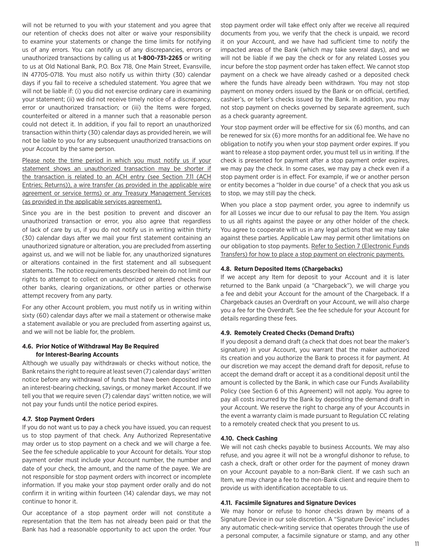will not be returned to you with your statement and you agree that our retention of checks does not alter or waive your responsibility to examine your statements or change the time limits for notifying us of any errors. You can notify us of any discrepancies, errors or unauthorized transactions by calling us at **1-800-731-2265** or writing to us at Old National Bank, P.O. Box 718, One Main Street, Evansville, IN 47705-0718. You must also notify us within thirty (30) calendar days if you fail to receive a scheduled statement. You agree that we will not be liable if: (i) you did not exercise ordinary care in examining your statement; (ii) we did not receive timely notice of a discrepancy, error or unauthorized transaction; or (iii) the Items were forged, counterfeited or altered in a manner such that a reasonable person could not detect it. In addition, if you fail to report an unauthorized transaction within thirty (30) calendar days as provided herein, we will not be liable to you for any subsequent unauthorized transactions on your Account by the same person.

Please note the time period in which you must notify us if your statement shows an unauthorized transaction may be shorter if the transaction is related to an ACH entry (see Section 7.11 (ACH Entries; Returns)), a wire transfer (as provided in the applicable wire agreement or service terms) or any Treasury Management Services (as provided in the applicable services agreement).

Since you are in the best position to prevent and discover an unauthorized transaction or error, you also agree that regardless of lack of care by us, if you do not notify us in writing within thirty (30) calendar days after we mail your first statement containing an unauthorized signature or alteration, you are precluded from asserting against us, and we will not be liable for, any unauthorized signatures or alterations contained in the first statement and all subsequent statements. The notice requirements described herein do not limit our rights to attempt to collect on unauthorized or altered checks from other banks, clearing organizations, or other parties or otherwise attempt recovery from any party.

For any other Account problem, you must notify us in writing within sixty (60) calendar days after we mail a statement or otherwise make a statement available or you are precluded from asserting against us, and we will not be liable for, the problem.

#### **4.6. Prior Notice of Withdrawal May Be Required for Interest-Bearing Accounts**

Although we usually pay withdrawals or checks without notice, the Bank retains the right to require at least seven (7) calendar days' written notice before any withdrawal of funds that have been deposited into an interest-bearing checking, savings, or money market Account. If we tell you that we require seven (7) calendar days' written notice, we will not pay your funds until the notice period expires.

# **4.7. Stop Payment Orders**

If you do not want us to pay a check you have issued, you can request us to stop payment of that check. Any Authorized Representative may order us to stop payment on a check and we will charge a fee. See the fee schedule applicable to your Account for details. Your stop payment order must include your Account number, the number and date of your check, the amount, and the name of the payee. We are not responsible for stop payment orders with incorrect or incomplete information. If you make your stop payment order orally and do not confirm it in writing within fourteen (14) calendar days, we may not continue to honor it.

Our acceptance of a stop payment order will not constitute a representation that the Item has not already been paid or that the Bank has had a reasonable opportunity to act upon the order. Your stop payment order will take effect only after we receive all required documents from you, we verify that the check is unpaid, we record it on your Account, and we have had sufficient time to notify the impacted areas of the Bank (which may take several days), and we will not be liable if we pay the check or for any related Losses you incur before the stop payment order has taken effect. We cannot stop payment on a check we have already cashed or a deposited check where the funds have already been withdrawn. You may not stop payment on money orders issued by the Bank or on official, certified, cashier's, or teller's checks issued by the Bank. In addition, you may not stop payment on checks governed by separate agreement, such as a check guaranty agreement.

Your stop payment order will be effective for six (6) months, and can be renewed for six (6) more months for an additional fee. We have no obligation to notify you when your stop payment order expires. If you want to release a stop payment order, you must tell us in writing. If the check is presented for payment after a stop payment order expires, we may pay the check. In some cases, we may pay a check even if a stop payment order is in effect. For example, if we or another person or entity becomes a "holder in due course" of a check that you ask us to stop, we may still pay the check.

When you place a stop payment order, you agree to indemnify us for all Losses we incur due to our refusal to pay the Item. You assign to us all rights against the payee or any other holder of the check. You agree to cooperate with us in any legal actions that we may take against these parties. Applicable Law may permit other limitations on our obligation to stop payments. Refer to Section 7 (Electronic Funds Transfers) for how to place a stop payment on electronic payments.

#### **4.8. Return Deposited Items (Chargebacks)**

If we accept any Item for deposit to your Account and it is later returned to the Bank unpaid (a "Chargeback"), we will charge you a fee and debit your Account for the amount of the Chargeback. If a Chargeback causes an Overdraft on your Account, we will also charge you a fee for the Overdraft. See the fee schedule for your Account for details regarding these fees.

#### **4.9. Remotely Created Checks (Demand Drafts)**

If you deposit a demand draft (a check that does not bear the maker's signature) in your Account, you warrant that the maker authorized its creation and you authorize the Bank to process it for payment. At our discretion we may accept the demand draft for deposit, refuse to accept the demand draft or accept it as a conditional deposit until the amount is collected by the Bank, in which case our Funds Availability Policy (see Section 6 of this Agreement) will not apply. You agree to pay all costs incurred by the Bank by depositing the demand draft in your Account. We reserve the right to charge any of your Accounts in the event a warranty claim is made pursuant to Regulation CC relating to a remotely created check that you present to us.

#### **4.10. Check Cashing**

We will not cash checks payable to business Accounts. We may also refuse, and you agree it will not be a wrongful dishonor to refuse, to cash a check, draft or other order for the payment of money drawn on your Account payable to a non-Bank client. If we cash such an Item, we may charge a fee to the non-Bank client and require them to provide us with identification acceptable to us.

#### **4.11. Facsimile Signatures and Signature Devices**

We may honor or refuse to honor checks drawn by means of a Signature Device in our sole discretion. A "Signature Device" includes any automatic check-writing service that operates through the use of a personal computer, a facsimile signature or stamp, and any other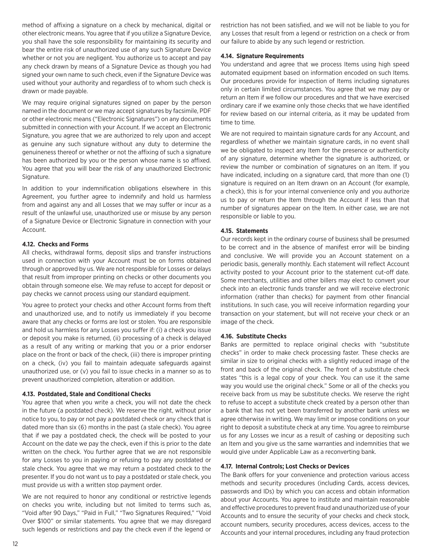method of affixing a signature on a check by mechanical, digital or other electronic means. You agree that if you utilize a Signature Device, you shall have the sole responsibility for maintaining its security and bear the entire risk of unauthorized use of any such Signature Device whether or not you are negligent. You authorize us to accept and pay any check drawn by means of a Signature Device as though you had signed your own name to such check, even if the Signature Device was used without your authority and regardless of to whom such check is drawn or made payable.

We may require original signatures signed on paper by the person named in the document or we may accept signatures by facsimile, PDF or other electronic means ("Electronic Signatures") on any documents submitted in connection with your Account. If we accept an Electronic Signature, you agree that we are authorized to rely upon and accept as genuine any such signature without any duty to determine the genuineness thereof or whether or not the affixing of such a signature has been authorized by you or the person whose name is so affixed. You agree that you will bear the risk of any unauthorized Electronic Signature.

In addition to your indemnification obligations elsewhere in this Agreement, you further agree to indemnify and hold us harmless from and against any and all Losses that we may suffer or incur as a result of the unlawful use, unauthorized use or misuse by any person of a Signature Device or Electronic Signature in connection with your Account.

# **4.12. Checks and Forms**

All checks, withdrawal forms, deposit slips and transfer instructions used in connection with your Account must be on forms obtained through or approved by us. We are not responsible for Losses or delays that result from improper printing on checks or other documents you obtain through someone else. We may refuse to accept for deposit or pay checks we cannot process using our standard equipment.

You agree to protect your checks and other Account forms from theft and unauthorized use, and to notify us immediately if you become aware that any checks or forms are lost or stolen. You are responsible and hold us harmless for any Losses you suffer if: (i) a check you issue or deposit you make is returned, (ii) processing of a check is delayed as a result of any writing or marking that you or a prior endorser place on the front or back of the check, (iii) there is improper printing on a check, (iv) you fail to maintain adequate safeguards against unauthorized use, or (v) you fail to issue checks in a manner so as to prevent unauthorized completion, alteration or addition.

# **4.13. Postdated, Stale and Conditional Checks**

You agree that when you write a check, you will not date the check in the future (a postdated check). We reserve the right, without prior notice to you, to pay or not pay a postdated check or any check that is dated more than six (6) months in the past (a stale check). You agree that if we pay a postdated check, the check will be posted to your Account on the date we pay the check, even if this is prior to the date written on the check. You further agree that we are not responsible for any Losses to you in paying or refusing to pay any postdated or stale check. You agree that we may return a postdated check to the presenter. If you do not want us to pay a postdated or stale check, you must provide us with a written stop payment order.

We are not required to honor any conditional or restrictive legends on checks you write, including but not limited to terms such as, "Void after 90 Days," "Paid in Full," "Two Signatures Required," "Void Over \$100" or similar statements. You agree that we may disregard such legends or restrictions and pay the check even if the legend or

restriction has not been satisfied, and we will not be liable to you for any Losses that result from a legend or restriction on a check or from our failure to abide by any such legend or restriction.

# **4.14. Signature Requirements**

You understand and agree that we process Items using high speed automated equipment based on information encoded on such Items. Our procedures provide for inspection of Items including signatures only in certain limited circumstances. You agree that we may pay or return an Item if we follow our procedures and that we have exercised ordinary care if we examine only those checks that we have identified for review based on our internal criteria, as it may be updated from time to time.

We are not required to maintain signature cards for any Account, and regardless of whether we maintain signature cards, in no event shall we be obligated to inspect any Item for the presence or authenticity of any signature, determine whether the signature is authorized, or review the number or combination of signatures on an Item. If you have indicated, including on a signature card, that more than one (1) signature is required on an Item drawn on an Account (for example, a check), this is for your internal convenience only and you authorize us to pay or return the Item through the Account if less than that number of signatures appear on the Item. In either case, we are not responsible or liable to you.

# **4.15. Statements**

Our records kept in the ordinary course of business shall be presumed to be correct and in the absence of manifest error will be binding and conclusive. We will provide you an Account statement on a periodic basis, generally monthly. Each statement will reflect Account activity posted to your Account prior to the statement cut-off date. Some merchants, utilities and other billers may elect to convert your check into an electronic funds transfer and we will receive electronic information (rather than checks) for payment from other financial institutions. In such case, you will receive information regarding your transaction on your statement, but will not receive your check or an image of the check.

# **4.16. Substitute Checks**

Banks are permitted to replace original checks with "substitute checks" in order to make check processing faster. These checks are similar in size to original checks with a slightly reduced image of the front and back of the original check. The front of a substitute check states "this is a legal copy of your check. You can use it the same way you would use the original check." Some or all of the checks you receive back from us may be substitute checks. We reserve the right to refuse to accept a substitute check created by a person other than a bank that has not yet been transferred by another bank unless we agree otherwise in writing. We may limit or impose conditions on your right to deposit a substitute check at any time. You agree to reimburse us for any Losses we incur as a result of cashing or depositing such an Item and you give us the same warranties and indemnities that we would give under Applicable Law as a reconverting bank.

# **4.17. Internal Controls; Lost Checks or Devices**

The Bank offers for your convenience and protection various access methods and security procedures (including Cards, access devices, passwords and IDs) by which you can access and obtain information about your Accounts. You agree to institute and maintain reasonable and effective procedures to prevent fraud and unauthorized use of your Accounts and to ensure the security of your checks and check stock, account numbers, security procedures, access devices, access to the Accounts and your internal procedures, including any fraud protection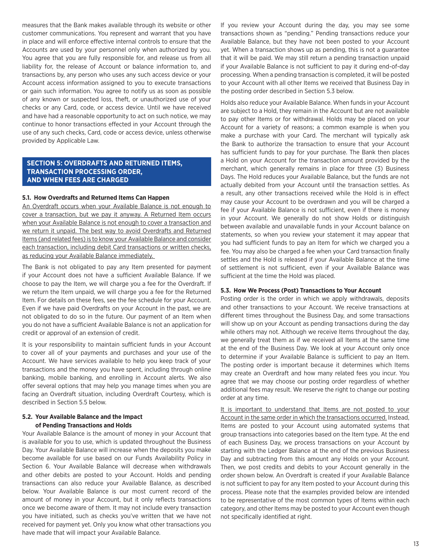measures that the Bank makes available through its website or other customer communications. You represent and warrant that you have in place and will enforce effective internal controls to ensure that the Accounts are used by your personnel only when authorized by you. You agree that you are fully responsible for, and release us from all liability for, the release of Account or balance information to, and transactions by, any person who uses any such access device or your Account access information assigned to you to execute transactions or gain such information. You agree to notify us as soon as possible of any known or suspected loss, theft, or unauthorized use of your checks or any Card, code, or access device. Until we have received and have had a reasonable opportunity to act on such notice, we may continue to honor transactions effected in your Account through the use of any such checks, Card, code or access device, unless otherwise provided by Applicable Law.

# **SECTION 5: OVERDRAFTS AND RETURNED ITEMS, TRANSACTION PROCESSING ORDER, AND WHEN FEES ARE CHARGED**

## **5.1. How Overdrafts and Returned Items Can Happen**

An Overdraft occurs when your Available Balance is not enough to cover a transaction, but we pay it anyway. A Returned Item occurs when your Available Balance is not enough to cover a transaction and we return it unpaid. The best way to avoid Overdrafts and Returned Items (and related fees) is to know your Available Balance and consider each transaction, including debit Card transactions or written checks, as reducing your Available Balance immediately.

The Bank is not obligated to pay any Item presented for payment if your Account does not have a sufficient Available Balance. If we choose to pay the Item, we will charge you a fee for the Overdraft. If we return the Item unpaid, we will charge you a fee for the Returned Item. For details on these fees, see the fee schedule for your Account. Even if we have paid Overdrafts on your Account in the past, we are not obligated to do so in the future. Our payment of an Item when you do not have a sufficient Available Balance is not an application for credit or approval of an extension of credit.

It is your responsibility to maintain sufficient funds in your Account to cover all of your payments and purchases and your use of the Account. We have services available to help you keep track of your transactions and the money you have spent, including through online banking, mobile banking, and enrolling in Account alerts. We also offer several options that may help you manage times when you are facing an Overdraft situation, including Overdraft Courtesy, which is described in Section 5.5 below.

### **5.2. Your Available Balance and the Impact of Pending Transactions and Holds**

Your Available Balance is the amount of money in your Account that is available for you to use, which is updated throughout the Business Day. Your Available Balance will increase when the deposits you make become available for use based on our Funds Availability Policy in Section 6. Your Available Balance will decrease when withdrawals and other debits are posted to your Account. Holds and pending transactions can also reduce your Available Balance, as described below. Your Available Balance is our most current record of the amount of money in your Account, but it only reflects transactions once we become aware of them. It may not include every transaction you have initiated, such as checks you've written that we have not received for payment yet. Only you know what other transactions you have made that will impact your Available Balance.

If you review your Account during the day, you may see some transactions shown as "pending." Pending transactions reduce your Available Balance, but they have not been posted to your Account yet. When a transaction shows up as pending, this is not a guarantee that it will be paid. We may still return a pending transaction unpaid if your Available Balance is not sufficient to pay it during end-of-day processing. When a pending transaction is completed, it will be posted to your Account with all other Items we received that Business Day in the posting order described in Section 5.3 below.

Holds also reduce your Available Balance. When funds in your Account are subject to a Hold, they remain in the Account but are not available to pay other Items or for withdrawal. Holds may be placed on your Account for a variety of reasons; a common example is when you make a purchase with your Card. The merchant will typically ask the Bank to authorize the transaction to ensure that your Account has sufficient funds to pay for your purchase. The Bank then places a Hold on your Account for the transaction amount provided by the merchant, which generally remains in place for three (3) Business Days. The Hold reduces your Available Balance, but the funds are not actually debited from your Account until the transaction settles. As a result, any other transactions received while the Hold is in effect may cause your Account to be overdrawn and you will be charged a fee if your Available Balance is not sufficient, even if there is money in your Account. We generally do not show Holds or distinguish between available and unavailable funds in your Account balance on statements, so when you review your statement it may appear that you had sufficient funds to pay an Item for which we charged you a fee. You may also be charged a fee when your Card transaction finally settles and the Hold is released if your Available Balance at the time of settlement is not sufficient, even if your Available Balance was sufficient at the time the Hold was placed.

#### **5.3. How We Process (Post) Transactions to Your Account**

Posting order is the order in which we apply withdrawals, deposits and other transactions to your Account. We receive transactions at different times throughout the Business Day, and some transactions will show up on your Account as pending transactions during the day while others may not. Although we receive Items throughout the day, we generally treat them as if we received all Items at the same time at the end of the Business Day. We look at your Account only once to determine if your Available Balance is sufficient to pay an Item. The posting order is important because it determines which Items may create an Overdraft and how many related fees you incur. You agree that we may choose our posting order regardless of whether additional fees may result. We reserve the right to change our posting order at any time.

It is important to understand that Items are not posted to your Account in the same order in which the transactions occurred. Instead, Items are posted to your Account using automated systems that group transactions into categories based on the Item type. At the end of each Business Day, we process transactions on your Account by starting with the Ledger Balance at the end of the previous Business Day and subtracting from this amount any Holds on your Account. Then, we post credits and debits to your Account generally in the order shown below. An Overdraft is created if your Available Balance is not sufficient to pay for any Item posted to your Account during this process. Please note that the examples provided below are intended to be representative of the most common types of Items within each category, and other Items may be posted to your Account even though not specifically identified at right.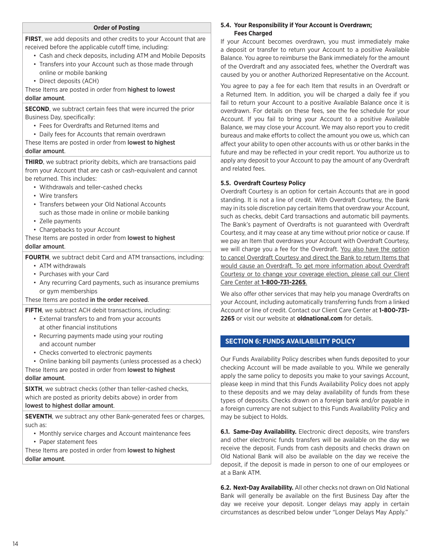# **Order of Posting**

**FIRST**, we add deposits and other credits to your Account that are received before the applicable cutoff time, including:

- Cash and check deposits, including ATM and Mobile Deposits
- Transfers into your Account such as those made through
- online or mobile banking
- Direct deposits (ACH)

These Items are posted in order from highest to lowest dollar amount.

**SECOND**, we subtract certain fees that were incurred the prior Business Day, specifically:

- Fees for Overdrafts and Returned Items and
- Daily fees for Accounts that remain overdrawn

These Items are posted in order from lowest to highest dollar amount.

**THIRD**, we subtract priority debits, which are transactions paid from your Account that are cash or cash-equivalent and cannot be returned. This includes:

- Withdrawals and teller-cashed checks
- Wire transfers
- Transfers between your Old National Accounts such as those made in online or mobile banking
- Zelle payments
- Chargebacks to your Account

These Items are posted in order from lowest to highest dollar amount.

**FOURTH**, we subtract debit Card and ATM transactions, including:

- ATM withdrawals
- Purchases with your Card
- Any recurring Card payments, such as insurance premiums or gym memberships

These Items are posted in the order received.

**FIFTH**, we subtract ACH debit transactions, including:

- External transfers to and from your accounts at other financial institutions
- Recurring payments made using your routing and account number
- Checks converted to electronic payments

• Online banking bill payments (unless processed as a check)

These Items are posted in order from lowest to highest

# dollar amount.

**SIXTH**, we subtract checks (other than teller-cashed checks, which are posted as priority debits above) in order from lowest to highest dollar amount.

**SEVENTH**, we subtract any other Bank-generated fees or charges, such as:

• Monthly service charges and Account maintenance fees

• Paper statement fees

These Items are posted in order from lowest to highest dollar amount.

# **5.4. Your Responsibility if Your Account is Overdrawn; Fees Charged**

If your Account becomes overdrawn, you must immediately make a deposit or transfer to return your Account to a positive Available Balance. You agree to reimburse the Bank immediately for the amount of the Overdraft and any associated fees, whether the Overdraft was caused by you or another Authorized Representative on the Account.

You agree to pay a fee for each Item that results in an Overdraft or a Returned Item. In addition, you will be charged a daily fee if you fail to return your Account to a positive Available Balance once it is overdrawn. For details on these fees, see the fee schedule for your Account. If you fail to bring your Account to a positive Available Balance, we may close your Account. We may also report you to credit bureaus and make efforts to collect the amount you owe us, which can affect your ability to open other accounts with us or other banks in the future and may be reflected in your credit report. You authorize us to apply any deposit to your Account to pay the amount of any Overdraft and related fees.

# **5.5. Overdraft Courtesy Policy**

Overdraft Courtesy is an option for certain Accounts that are in good standing. It is not a line of credit. With Overdraft Courtesy, the Bank may in its sole discretion pay certain Items that overdraw your Account, such as checks, debit Card transactions and automatic bill payments. The Bank's payment of Overdrafts is not guaranteed with Overdraft Courtesy, and it may cease at any time without prior notice or cause. If we pay an Item that overdraws your Account with Overdraft Courtesy, we will charge you a fee for the Overdraft. You also have the option to cancel Overdraft Courtesy and direct the Bank to return Items that would cause an Overdraft. To get more information about Overdraft Courtesy or to change your coverage election, please call our Client Care Center at **1-800-731-2265**.

We also offer other services that may help you manage Overdrafts on your Account, including automatically transferring funds from a linked Account or line of credit. Contact our Client Care Center at **1-800-731- 2265** or visit our website at **oldnational.com** for details.

# **SECTION 6: FUNDS AVAILABILITY POLICY**

Our Funds Availability Policy describes when funds deposited to your checking Account will be made available to you. While we generally apply the same policy to deposits you make to your savings Account, please keep in mind that this Funds Availability Policy does not apply to these deposits and we may delay availability of funds from these types of deposits. Checks drawn on a foreign bank and/or payable in a foreign currency are not subject to this Funds Availability Policy and may be subject to Holds.

**6.1. Same-Day Availability.** Electronic direct deposits, wire transfers and other electronic funds transfers will be available on the day we receive the deposit. Funds from cash deposits and checks drawn on Old National Bank will also be available on the day we receive the deposit, if the deposit is made in person to one of our employees or at a Bank ATM.

**6.2. Next-Day Availability.** All other checks not drawn on Old National Bank will generally be available on the first Business Day after the day we receive your deposit. Longer delays may apply in certain circumstances as described below under "Longer Delays May Apply."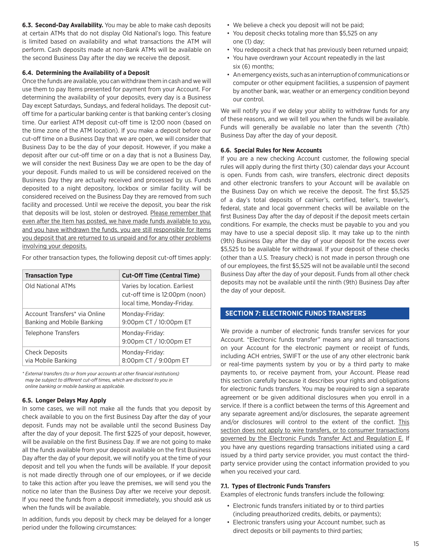**6.3. Second-Day Availability.** You may be able to make cash deposits at certain ATMs that do not display Old National's logo. This feature is limited based on availability and what transactions the ATM will perform. Cash deposits made at non-Bank ATMs will be available on the second Business Day after the day we receive the deposit.

# **6.4. Determining the Availability of a Deposit**

Once the funds are available, you can withdraw them in cash and we will use them to pay Items presented for payment from your Account. For determining the availability of your deposits, every day is a Business Day except Saturdays, Sundays, and federal holidays. The deposit cutoff time for a particular banking center is that banking center's closing time. Our earliest ATM deposit cut-off time is 12:00 noon (based on the time zone of the ATM location). If you make a deposit before our cut-off time on a Business Day that we are open, we will consider that Business Day to be the day of your deposit. However, if you make a deposit after our cut-off time or on a day that is not a Business Day, we will consider the next Business Day we are open to be the day of your deposit. Funds mailed to us will be considered received on the Business Day they are actually received and processed by us. Funds deposited to a night depository, lockbox or similar facility will be considered received on the Business Day they are removed from such facility and processed. Until we receive the deposit, you bear the risk that deposits will be lost, stolen or destroyed. Please remember that even after the Item has posted, we have made funds available to you, and you have withdrawn the funds, you are still responsible for Items you deposit that are returned to us unpaid and for any other problems involving your deposits.

For other transaction types, the following deposit cut-off times apply:

| <b>Transaction Type</b>                                     | <b>Cut-Off Time (Central Time)</b>                                                           |  |
|-------------------------------------------------------------|----------------------------------------------------------------------------------------------|--|
| Old National ATMs                                           | Varies by location. Earliest<br>cut-off time is 12:00pm (noon)<br>local time, Monday-Friday. |  |
| Account Transfers* via Online<br>Banking and Mobile Banking | Monday-Friday:<br>9:00pm CT / 10:00pm ET                                                     |  |
| Telephone Transfers                                         | Monday-Friday:<br>9:00pm CT / 10:00pm ET                                                     |  |
| <b>Check Deposits</b><br>via Mobile Banking                 | Monday-Friday:<br>8:00pm CT / 9:00pm ET                                                      |  |

*\* External transfers (to or from your accounts at other financial institutions) may be subject to different cut-off times, which are disclosed to you in online banking or mobile banking as applicable.*

# **6.5. Longer Delays May Apply**

In some cases, we will not make all the funds that you deposit by check available to you on the first Business Day after the day of your deposit. Funds may not be available until the second Business Day after the day of your deposit. The first \$225 of your deposit, however, will be available on the first Business Day. If we are not going to make all the funds available from your deposit available on the first Business Day after the day of your deposit, we will notify you at the time of your deposit and tell you when the funds will be available. If your deposit is not made directly through one of our employees, or if we decide to take this action after you leave the premises, we will send you the notice no later than the Business Day after we receive your deposit. If you need the funds from a deposit immediately, you should ask us when the funds will be available.

In addition, funds you deposit by check may be delayed for a longer period under the following circumstances:

- We believe a check you deposit will not be paid;
- You deposit checks totaling more than \$5,525 on any one (1) day;
- You redeposit a check that has previously been returned unpaid;
- You have overdrawn your Account repeatedly in the last six (6) months;
- An emergency exists, such as an interruption of communications or computer or other equipment facilities, a suspension of payment by another bank, war, weather or an emergency condition beyond our control.

We will notify you if we delay your ability to withdraw funds for any of these reasons, and we will tell you when the funds will be available. Funds will generally be available no later than the seventh (7th) Business Day after the day of your deposit.

# **6.6. Special Rules for New Accounts**

If you are a new checking Account customer, the following special rules will apply during the first thirty (30) calendar days your Account is open. Funds from cash, wire transfers, electronic direct deposits and other electronic transfers to your Account will be available on the Business Day on which we receive the deposit. The first \$5,525 of a day's total deposits of cashier's, certified, teller's, traveler's, federal, state and local government checks will be available on the first Business Day after the day of deposit if the deposit meets certain conditions. For example, the checks must be payable to you and you may have to use a special deposit slip. It may take up to the ninth (9th) Business Day after the day of your deposit for the excess over \$5,525 to be available for withdrawal. If your deposit of these checks (other than a U.S. Treasury check) is not made in person through one of our employees, the first \$5,525 will not be available until the second Business Day after the day of your deposit. Funds from all other check deposits may not be available until the ninth (9th) Business Day after the day of your deposit.

# **SECTION 7: ELECTRONIC FUNDS TRANSFERS**

We provide a number of electronic funds transfer services for your Account. "Electronic funds transfer" means any and all transactions on your Account for the electronic payment or receipt of funds, including ACH entries, SWIFT or the use of any other electronic bank or real-time payments system by you or by a third party to make payments to, or receive payment from, your Account. Please read this section carefully because it describes your rights and obligations for electronic funds transfers. You may be required to sign a separate agreement or be given additional disclosures when you enroll in a service. If there is a conflict between the terms of this Agreement and any separate agreement and/or disclosures, the separate agreement and/or disclosures will control to the extent of the conflict. This section does not apply to wire transfers, or to consumer transactions governed by the Electronic Funds Transfer Act and Regulation E. If you have any questions regarding transactions initiated using a card issued by a third party service provider, you must contact the thirdparty service provider using the contact information provided to you when you received your card.

# **7.1. Types of Electronic Funds Transfers**

Examples of electronic funds transfers include the following:

- Electronic funds transfers initiated by or to third parties (including preauthorized credits, debits, or payments);
- Electronic transfers using your Account number, such as direct deposits or bill payments to third parties;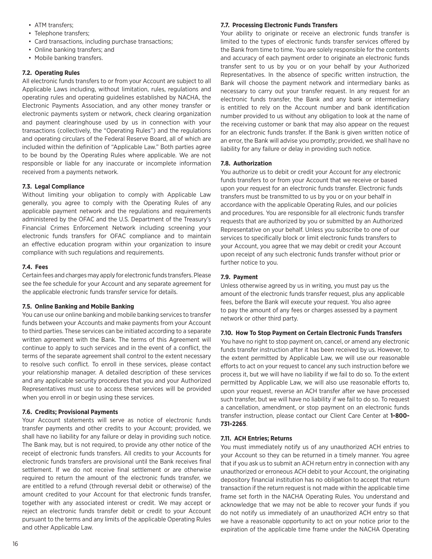- ATM transfers;
- Telephone transfers;
- Card transactions, including purchase transactions;
- Online banking transfers; and
- Mobile banking transfers.

# **7.2. Operating Rules**

All electronic funds transfers to or from your Account are subject to all Applicable Laws including, without limitation, rules, regulations and operating rules and operating guidelines established by NACHA, the Electronic Payments Association, and any other money transfer or electronic payments system or network, check clearing organization and payment clearinghouse used by us in connection with your transactions (collectively, the "Operating Rules") and the regulations and operating circulars of the Federal Reserve Board, all of which are included within the definition of "Applicable Law." Both parties agree to be bound by the Operating Rules where applicable. We are not responsible or liable for any inaccurate or incomplete information received from a payments network.

# **7.3. Legal Compliance**

Without limiting your obligation to comply with Applicable Law generally, you agree to comply with the Operating Rules of any applicable payment network and the regulations and requirements administered by the OFAC and the U.S. Department of the Treasury's Financial Crimes Enforcement Network including screening your electronic funds transfers for OFAC compliance and to maintain an effective education program within your organization to insure compliance with such regulations and requirements.

# **7.4. Fees**

Certain fees and charges may apply for electronic funds transfers. Please see the fee schedule for your Account and any separate agreement for the applicable electronic funds transfer service for details.

# **7.5. Online Banking and Mobile Banking**

You can use our online banking and mobile banking services to transfer funds between your Accounts and make payments from your Account to third parties. These services can be initiated according to a separate written agreement with the Bank. The terms of this Agreement will continue to apply to such services and in the event of a conflict, the terms of the separate agreement shall control to the extent necessary to resolve such conflict. To enroll in these services, please contact your relationship manager. A detailed description of these services and any applicable security procedures that you and your Authorized Representatives must use to access these services will be provided when you enroll in or begin using these services.

# **7.6. Credits; Provisional Payments**

Your Account statements will serve as notice of electronic funds transfer payments and other credits to your Account; provided, we shall have no liability for any failure or delay in providing such notice. The Bank may, but is not required, to provide any other notice of the receipt of electronic funds transfers. All credits to your Accounts for electronic funds transfers are provisional until the Bank receives final settlement. If we do not receive final settlement or are otherwise required to return the amount of the electronic funds transfer, we are entitled to a refund (through reversal debit or otherwise) of the amount credited to your Account for that electronic funds transfer, together with any associated interest or credit. We may accept or reject an electronic funds transfer debit or credit to your Account pursuant to the terms and any limits of the applicable Operating Rules and other Applicable Law.

# **7.7. Processing Electronic Funds Transfers**

Your ability to originate or receive an electronic funds transfer is limited to the types of electronic funds transfer services offered by the Bank from time to time. You are solely responsible for the contents and accuracy of each payment order to originate an electronic funds transfer sent to us by you or on your behalf by your Authorized Representatives. In the absence of specific written instruction, the Bank will choose the payment network and intermediary banks as necessary to carry out your transfer request. In any request for an electronic funds transfer, the Bank and any bank or intermediary is entitled to rely on the Account number and bank identification number provided to us without any obligation to look at the name of the receiving customer or bank that may also appear on the request for an electronic funds transfer. If the Bank is given written notice of an error, the Bank will advise you promptly; provided, we shall have no liability for any failure or delay in providing such notice.

# **7.8. Authorization**

You authorize us to debit or credit your Account for any electronic funds transfers to or from your Account that we receive or based upon your request for an electronic funds transfer. Electronic funds transfers must be transmitted to us by you or on your behalf in accordance with the applicable Operating Rules, and our policies and procedures. You are responsible for all electronic funds transfer requests that are authorized by you or submitted by an Authorized Representative on your behalf. Unless you subscribe to one of our services to specifically block or limit electronic funds transfers to your Account, you agree that we may debit or credit your Account upon receipt of any such electronic funds transfer without prior or further notice to you.

# **7.9. Payment**

Unless otherwise agreed by us in writing, you must pay us the amount of the electronic funds transfer request, plus any applicable fees, before the Bank will execute your request. You also agree to pay the amount of any fees or charges assessed by a payment network or other third party.

# **7.10. How To Stop Payment on Certain Electronic Funds Transfers**

You have no right to stop payment on, cancel, or amend any electronic funds transfer instruction after it has been received by us. However, to the extent permitted by Applicable Law, we will use our reasonable efforts to act on your request to cancel any such instruction before we process it, but we will have no liability if we fail to do so. To the extent permitted by Applicable Law, we will also use reasonable efforts to, upon your request, reverse an ACH transfer after we have processed such transfer, but we will have no liability if we fail to do so. To request a cancellation, amendment, or stop payment on an electronic funds transfer instruction, please contact our Client Care Center at **1-800- 731-2265**.

# **7.11. ACH Entries; Returns**

You must immediately notify us of any unauthorized ACH entries to your Account so they can be returned in a timely manner. You agree that if you ask us to submit an ACH return entry in connection with any unauthorized or erroneous ACH debit to your Account, the originating depository financial institution has no obligation to accept that return transaction if the return request is not made within the applicable time frame set forth in the NACHA Operating Rules. You understand and acknowledge that we may not be able to recover your funds if you do not notify us immediately of an unauthorized ACH entry so that we have a reasonable opportunity to act on your notice prior to the expiration of the applicable time frame under the NACHA Operating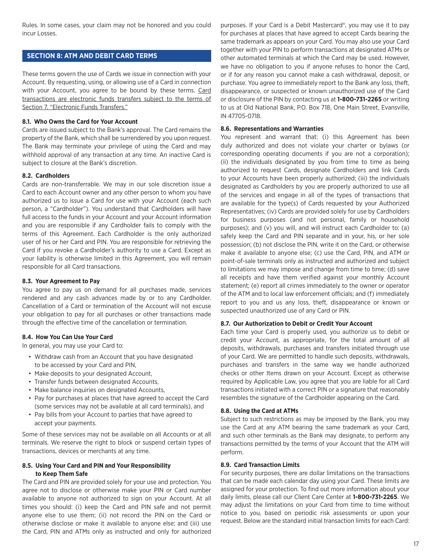Rules. In some cases, your claim may not be honored and you could incur Losses.

# **SECTION 8: ATM AND DEBIT CARD TERMS**

These terms govern the use of Cards we issue in connection with your Account. By requesting, using, or allowing use of a Card in connection with your Account, you agree to be bound by these terms. Card transactions are electronic funds transfers subject to the terms of Section 7, "Electronic Funds Transfers."

# **8.1. Who Owns the Card for Your Account**

Cards are issued subject to the Bank's approval. The Card remains the property of the Bank, which shall be surrendered by you upon request. The Bank may terminate your privilege of using the Card and may withhold approval of any transaction at any time. An inactive Card is subject to closure at the Bank's discretion.

#### **8.2. Cardholders**

Cards are non-transferrable. We may in our sole discretion issue a Card to each Account owner and any other person to whom you have authorized us to issue a Card for use with your Account (each such person, a "Cardholder"). You understand that Cardholders will have full access to the funds in your Account and your Account information and you are responsible if any Cardholder fails to comply with the terms of this Agreement. Each Cardholder is the only authorized user of his or her Card and PIN. You are responsible for retrieving the Card if you revoke a Cardholder's authority to use a Card. Except as your liability is otherwise limited in this Agreement, you will remain responsible for all Card transactions.

## **8.3. Your Agreement to Pay**

You agree to pay us on demand for all purchases made, services rendered and any cash advances made by or to any Cardholder. Cancellation of a Card or termination of the Account will not excuse your obligation to pay for all purchases or other transactions made through the effective time of the cancellation or termination.

# **8.4. How You Can Use Your Card**

In general, you may use your Card to:

- Withdraw cash from an Account that you have designated to be accessed by your Card and PIN,
- Make deposits to your designated Account,
- Transfer funds between designated Accounts,
- Make balance inquiries on designated Accounts,
- Pay for purchases at places that have agreed to accept the Card (some services may not be available at all card terminals), and
- Pay bills from your Account to parties that have agreed to accept your payments.

Some of these services may not be available on all Accounts or at all terminals. We reserve the right to block or suspend certain types of transactions, devices or merchants at any time.

# **8.5. Using Your Card and PIN and Your Responsibility to Keep Them Safe**

The Card and PIN are provided solely for your use and protection. You agree not to disclose or otherwise make your PIN or Card number available to anyone not authorized to sign on your Account. At all times you should: (i) keep the Card and PIN safe and not permit anyone else to use them; (ii) not record the PIN on the Card or otherwise disclose or make it available to anyone else; and (iii) use the Card, PIN and ATMs only as instructed and only for authorized purposes. If your Card is a Debit Mastercard®, you may use it to pay for purchases at places that have agreed to accept Cards bearing the same trademark as appears on your Card. You may also use your Card together with your PIN to perform transactions at designated ATMs or other automated terminals at which the Card may be used. However, we have no obligation to you if anyone refuses to honor the Card, or if for any reason you cannot make a cash withdrawal, deposit, or purchase. You agree to immediately report to the Bank any loss, theft, disappearance, or suspected or known unauthorized use of the Card or disclosure of the PIN by contacting us at **1-800-731-2265** or writing to us at Old National Bank, P.O. Box 718, One Main Street, Evansville, IN 47705-0718.

#### **8.6. Representations and Warranties**

You represent and warrant that: (i) this Agreement has been duly authorized and does not violate your charter or bylaws (or corresponding operating documents if you are not a corporation); (ii) the individuals designated by you from time to time as being authorized to request Cards, designate Cardholders and link Cards to your Accounts have been properly authorized; (iii) the individuals designated as Cardholders by you are properly authorized to use all of the services and engage in all of the types of transactions that are available for the type(s) of Cards requested by your Authorized Representatives; (iv) Cards are provided solely for use by Cardholders for business purposes (and not personal, family or household purposes); and (v) you will, and will instruct each Cardholder to: (a) safely keep the Card and PIN separate and in your, his, or her sole possession; (b) not disclose the PIN, write it on the Card, or otherwise make it available to anyone else; (c) use the Card, PIN, and ATM or point-of-sale terminals only as instructed and authorized and subject to limitations we may impose and change from time to time; (d) save all receipts and have them verified against your monthly Account statement; (e) report all crimes immediately to the owner or operator of the ATM and to local law enforcement officials; and (f) immediately report to you and us any loss, theft, disappearance or known or suspected unauthorized use of any Card or PIN.

# **8.7. Our Authorization to Debit or Credit Your Account**

Each time your Card is properly used, you authorize us to debit or credit your Account, as appropriate, for the total amount of all deposits, withdrawals, purchases and transfers initiated through use of your Card. We are permitted to handle such deposits, withdrawals, purchases and transfers in the same way we handle authorized checks or other Items drawn on your Account. Except as otherwise required by Applicable Law, you agree that you are liable for all Card transactions initiated with a correct PIN or a signature that reasonably resembles the signature of the Cardholder appearing on the Card.

#### **8.8. Using the Card at ATMs**

Subject to such restrictions as may be imposed by the Bank, you may use the Card at any ATM bearing the same trademark as your Card, and such other terminals as the Bank may designate, to perform any transactions permitted by the terms of your Account that the ATM will perform.

# **8.9. Card Transaction Limits**

For security purposes, there are dollar limitations on the transactions that can be made each calendar day using your Card. These limits are assigned for your protection. To find out more information about your daily limits, please call our Client Care Center at **1-800-731-2265**. We may adjust the limitations on your Card from time to time without notice to you, based on periodic risk assessments or upon your request. Below are the standard initial transaction limits for each Card: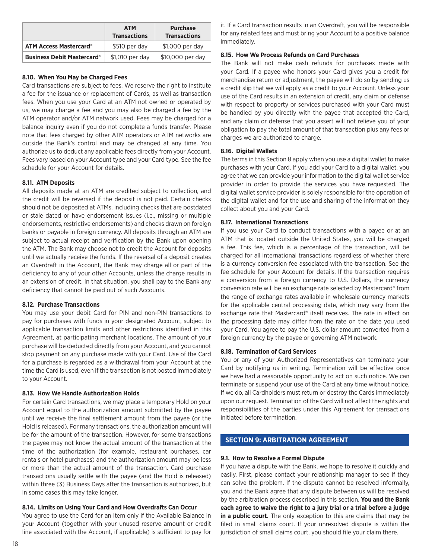|                                   | <b>ATM</b><br><b>Transactions</b> | <b>Purchase</b><br><b>Transactions</b> |
|-----------------------------------|-----------------------------------|----------------------------------------|
| <b>ATM Access Mastercard®</b>     | \$510 per day                     | \$1,000 per day                        |
| <b>Business Debit Mastercard®</b> | \$1,010 per day                   | \$10,000 per day                       |

# **8.10. When You May be Charged Fees**

Card transactions are subject to fees. We reserve the right to institute a fee for the issuance or replacement of Cards, as well as transaction fees. When you use your Card at an ATM not owned or operated by us, we may charge a fee and you may also be charged a fee by the ATM operator and/or ATM network used. Fees may be charged for a balance inquiry even if you do not complete a funds transfer. Please note that fees charged by other ATM operators or ATM networks are outside the Bank's control and may be changed at any time. You authorize us to deduct any applicable fees directly from your Account. Fees vary based on your Account type and your Card type. See the fee schedule for your Account for details.

# **8.11. ATM Deposits**

All deposits made at an ATM are credited subject to collection, and the credit will be reversed if the deposit is not paid. Certain checks should not be deposited at ATMs, including checks that are postdated or stale dated or have endorsement issues (i.e., missing or multiple endorsements, restrictive endorsements) and checks drawn on foreign banks or payable in foreign currency. All deposits through an ATM are subject to actual receipt and verification by the Bank upon opening the ATM. The Bank may choose not to credit the Account for deposits until we actually receive the funds. If the reversal of a deposit creates an Overdraft in the Account, the Bank may charge all or part of the deficiency to any of your other Accounts, unless the charge results in an extension of credit. In that situation, you shall pay to the Bank any deficiency that cannot be paid out of such Accounts.

# **8.12. Purchase Transactions**

You may use your debit Card for PIN and non-PIN transactions to pay for purchases with funds in your designated Account, subject to applicable transaction limits and other restrictions identified in this Agreement, at participating merchant locations. The amount of your purchase will be deducted directly from your Account, and you cannot stop payment on any purchase made with your Card. Use of the Card for a purchase is regarded as a withdrawal from your Account at the time the Card is used, even if the transaction is not posted immediately to your Account.

# **8.13. How We Handle Authorization Holds**

For certain Card transactions, we may place a temporary Hold on your Account equal to the authorization amount submitted by the payee until we receive the final settlement amount from the payee (or the Hold is released). For many transactions, the authorization amount will be for the amount of the transaction. However, for some transactions the payee may not know the actual amount of the transaction at the time of the authorization (for example, restaurant purchases, car rentals or hotel purchases) and the authorization amount may be less or more than the actual amount of the transaction. Card purchase transactions usually settle with the payee (and the Hold is released) within three (3) Business Days after the transaction is authorized, but in some cases this may take longer.

# **8.14. Limits on Using Your Card and How Overdrafts Can Occur**

You agree to use the Card for an Item only if the Available Balance in your Account (together with your unused reserve amount or credit line associated with the Account, if applicable) is sufficient to pay for

it. If a Card transaction results in an Overdraft, you will be responsible for any related fees and must bring your Account to a positive balance immediately.

# **8.15. How We Process Refunds on Card Purchases**

The Bank will not make cash refunds for purchases made with your Card. If a payee who honors your Card gives you a credit for merchandise return or adjustment, the payee will do so by sending us a credit slip that we will apply as a credit to your Account. Unless your use of the Card results in an extension of credit, any claim or defense with respect to property or services purchased with your Card must be handled by you directly with the payee that accepted the Card, and any claim or defense that you assert will not relieve you of your obligation to pay the total amount of that transaction plus any fees or charges we are authorized to charge.

# **8.16. Digital Wallets**

The terms in this Section 8 apply when you use a digital wallet to make purchases with your Card. If you add your Card to a digital wallet, you agree that we can provide your information to the digital wallet service provider in order to provide the services you have requested. The digital wallet service provider is solely responsible for the operation of the digital wallet and for the use and sharing of the information they collect about you and your Card.

# **8.17. International Transactions**

If you use your Card to conduct transactions with a payee or at an ATM that is located outside the United States, you will be charged a fee. This fee, which is a percentage of the transaction, will be charged for all international transactions regardless of whether there is a currency conversion fee associated with the transaction. See the fee schedule for your Account for details. If the transaction requires a conversion from a foreign currency to U.S. Dollars, the currency conversion rate will be an exchange rate selected by Mastercard® from the range of exchange rates available in wholesale currency markets for the applicable central processing date, which may vary from the exchange rate that Mastercard® itself receives. The rate in effect on the processing date may differ from the rate on the date you used your Card. You agree to pay the U.S. dollar amount converted from a foreign currency by the payee or governing ATM network.

# **8.18. Termination of Card Services**

You or any of your Authorized Representatives can terminate your Card by notifying us in writing. Termination will be effective once we have had a reasonable opportunity to act on such notice. We can terminate or suspend your use of the Card at any time without notice. If we do, all Cardholders must return or destroy the Cards immediately upon our request. Termination of the Card will not affect the rights and responsibilities of the parties under this Agreement for transactions initiated before termination.

# **SECTION 9: ARBITRATION AGREEMENT**

# **9.1. How to Resolve a Formal Dispute**

If you have a dispute with the Bank, we hope to resolve it quickly and easily. First, please contact your relationship manager to see if they can solve the problem. If the dispute cannot be resolved informally, you and the Bank agree that any dispute between us will be resolved by the arbitration process described in this section. **You and the Bank each agree to waive the right to a jury trial or a trial before a judge in a public court.** The only exception to this are claims that may be filed in small claims court. If your unresolved dispute is within the jurisdiction of small claims court, you should file your claim there.